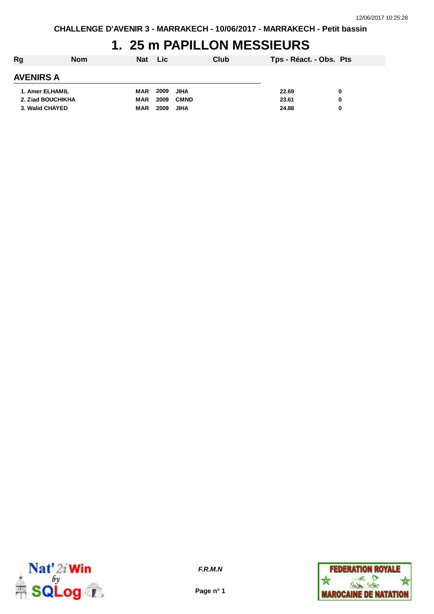## **1. 25 m PAPILLON MESSIEURS**

| Rg                | <b>Nom</b> | Nat Lic    |      |             | Club | Tps - Réact. - Obs. Pts |   |
|-------------------|------------|------------|------|-------------|------|-------------------------|---|
| <b>AVENIRS A</b>  |            |            |      |             |      |                         |   |
| 1. Amer ELHAMIL   |            | MAR        | 2009 | <b>JIHA</b> |      | 22.69                   | 0 |
| 2. Ziad BOUCHIKHA |            | <b>MAR</b> | 2009 | <b>CMND</b> |      | 23.61                   | 0 |
| 3. Walid CHAYED   |            | <b>MAR</b> | 2009 | <b>JIHA</b> |      | 24.88                   | 0 |



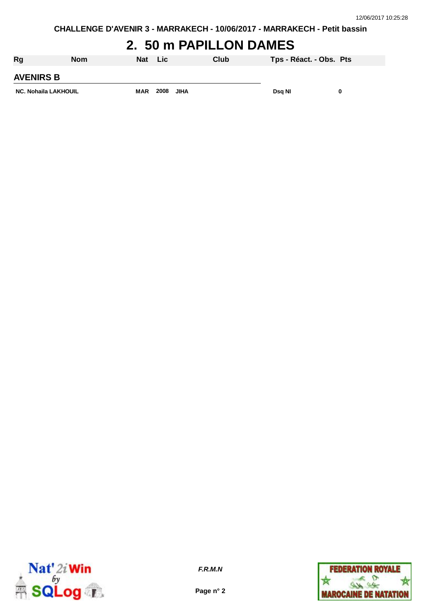# **2. 50 m PAPILLON DAMES**

| Rg                          | <b>Nom</b> | Nat        | Lic  |             | Club | Tps - Réact. - Obs. Pts |  |
|-----------------------------|------------|------------|------|-------------|------|-------------------------|--|
| <b>AVENIRS B</b>            |            |            |      |             |      |                         |  |
| <b>NC. Nohaila LAKHOUIL</b> |            | <b>MAR</b> | 2008 | <b>JIHA</b> |      | Dsg NI                  |  |



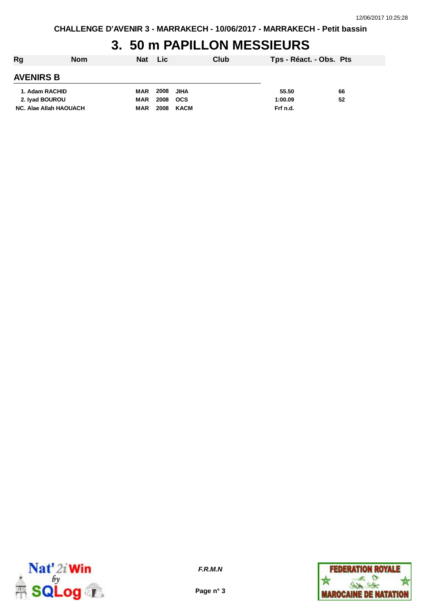## **3. 50 m PAPILLON MESSIEURS**

| Rg                     | <b>Nom</b> | <b>Nat</b> | <b>Lic</b> |            | Club | Tps - Réact. - Obs. Pts |    |  |
|------------------------|------------|------------|------------|------------|------|-------------------------|----|--|
| <b>AVENIRS B</b>       |            |            |            |            |      |                         |    |  |
| 1. Adam RACHID         |            | MAR        | 2008       | JIHA       |      | 55.50                   | 66 |  |
| 2. Ivad BOUROU         |            | MAR        | 2008       | <b>OCS</b> |      | 1:00.09                 | 52 |  |
| NC. Alae Allah HAOUACH |            | <b>MAR</b> | 2008       | KACM       |      | Frf n.d.                |    |  |



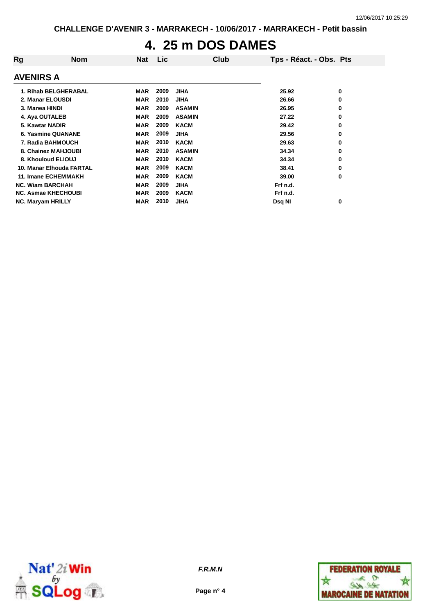# **4. 25 m DOS DAMES**

| Rg                         | <b>Nom</b> | <b>Nat</b> | <b>Lic</b> |               | Club | Tps - Réact. - Obs. Pts |   |
|----------------------------|------------|------------|------------|---------------|------|-------------------------|---|
| <b>AVENIRS A</b>           |            |            |            |               |      |                         |   |
| 1. Rihab BELGHERABAL       |            | <b>MAR</b> | 2009       | <b>JIHA</b>   |      | 25.92                   | 0 |
| 2. Manar ELOUSDI           |            | <b>MAR</b> | 2010       | <b>JIHA</b>   |      | 26.66                   | 0 |
| 3. Marwa HINDI             |            | <b>MAR</b> | 2009       | <b>ASAMIN</b> |      | 26.95                   | 0 |
| 4. Aya OUTALEB             |            | <b>MAR</b> | 2009       | <b>ASAMIN</b> |      | 27.22                   | 0 |
| 5. Kawtar NADIR            |            | <b>MAR</b> | 2009       | <b>KACM</b>   |      | 29.42                   | 0 |
| 6. Yasmine QUANANE         |            | <b>MAR</b> | 2009       | <b>JIHA</b>   |      | 29.56                   | 0 |
| 7. Radia BAHMOUCH          |            | <b>MAR</b> | 2010       | <b>KACM</b>   |      | 29.63                   | 0 |
| 8. Chainez MAHJOUBI        |            | <b>MAR</b> | 2010       | <b>ASAMIN</b> |      | 34.34                   | 0 |
| 8. Khouloud ELIOUJ         |            | <b>MAR</b> | 2010       | <b>KACM</b>   |      | 34.34                   | 0 |
| 10. Manar Elhouda FARTAL   |            | <b>MAR</b> | 2009       | <b>KACM</b>   |      | 38.41                   | 0 |
| <b>11. Imane ECHEMMAKH</b> |            | <b>MAR</b> | 2009       | <b>KACM</b>   |      | 39.00                   | 0 |
| <b>NC. Wiam BARCHAH</b>    |            | <b>MAR</b> | 2009       | <b>JIHA</b>   |      | Frf n.d.                |   |
| <b>NC. Asmae KHECHOUBI</b> |            | <b>MAR</b> | 2009       | <b>KACM</b>   |      | Frf n.d.                |   |
| <b>NC. Maryam HRILLY</b>   |            | MAR        | 2010       | <b>JIHA</b>   |      | Dsq NI                  | 0 |





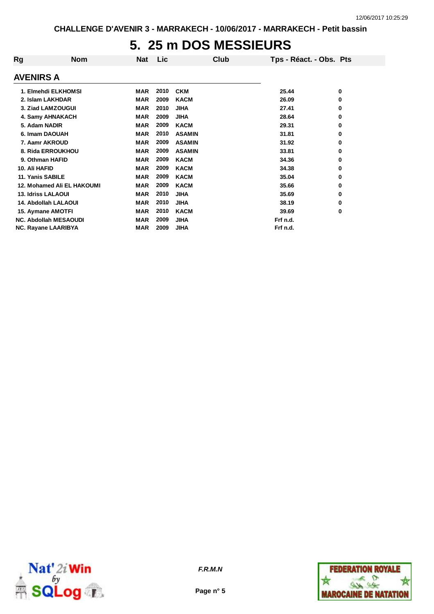#### **5. 25 m DOS MESSIEURS**

| <b>Nom</b>                   | <b>Nat</b> | Lic  |               | Club | Tps - Réact. - Obs. Pts |   |
|------------------------------|------------|------|---------------|------|-------------------------|---|
|                              |            |      |               |      |                         |   |
| 1. Elmehdi ELKHOMSI          | MAR        | 2010 | <b>CKM</b>    |      | 25.44                   | 0 |
| 2. Islam LAKHDAR             | <b>MAR</b> | 2009 | <b>KACM</b>   |      | 26.09                   | 0 |
| 3. Ziad LAMZOUGUI            | <b>MAR</b> | 2010 | <b>JIHA</b>   |      | 27.41                   | 0 |
| 4. Samy AHNAKACH             | <b>MAR</b> | 2009 | <b>JIHA</b>   |      | 28.64                   | 0 |
| 5. Adam NADIR                | <b>MAR</b> | 2009 | <b>KACM</b>   |      | 29.31                   | 0 |
| 6. Imam DAOUAH               | <b>MAR</b> | 2010 | <b>ASAMIN</b> |      | 31.81                   | 0 |
| 7. Aamr AKROUD               | <b>MAR</b> | 2009 | <b>ASAMIN</b> |      | 31.92                   | 0 |
| 8. Rida ERROUKHOU            | <b>MAR</b> | 2009 | <b>ASAMIN</b> |      | 33.81                   | 0 |
| 9. Othman HAFID              | <b>MAR</b> | 2009 | <b>KACM</b>   |      | 34.36                   | 0 |
|                              | <b>MAR</b> | 2009 | <b>KACM</b>   |      | 34.38                   | 0 |
| 11. Yanis SABILE             | <b>MAR</b> | 2009 | <b>KACM</b>   |      | 35.04                   | 0 |
| 12. Mohamed Ali EL HAKOUMI   | <b>MAR</b> | 2009 | <b>KACM</b>   |      | 35.66                   | 0 |
| <b>13. Idriss LALAOUI</b>    | <b>MAR</b> | 2010 | <b>JIHA</b>   |      | 35.69                   | 0 |
| 14. Abdollah LALAOUI         | <b>MAR</b> | 2010 | <b>JIHA</b>   |      | 38.19                   | 0 |
| 15. Aymane AMOTFI            | <b>MAR</b> | 2010 | <b>KACM</b>   |      | 39.69                   | 0 |
| <b>NC. Abdollah MESAOUDI</b> | <b>MAR</b> | 2009 | <b>JIHA</b>   |      | Frf n.d.                |   |
| <b>NC. Rayane LAARIBYA</b>   | <b>MAR</b> | 2009 | <b>JIHA</b>   |      | Frf n.d.                |   |
|                              |            |      |               |      |                         |   |



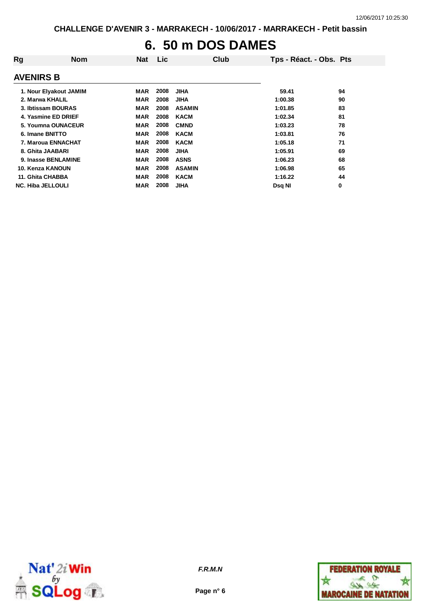# **6. 50 m DOS DAMES**

| Rg                       | <b>Nom</b> | Nat        | Lic  |               | Club | Tps - Réact. - Obs. Pts |    |
|--------------------------|------------|------------|------|---------------|------|-------------------------|----|
| <b>AVENIRS B</b>         |            |            |      |               |      |                         |    |
| 1. Nour Elyakout JAMIM   |            | MAR        | 2008 | <b>JIHA</b>   |      | 59.41                   | 94 |
| 2. Marwa KHALIL          |            | <b>MAR</b> | 2008 | <b>JIHA</b>   |      | 1:00.38                 | 90 |
| 3. Ibtissam BOURAS       |            | <b>MAR</b> | 2008 | <b>ASAMIN</b> |      | 1:01.85                 | 83 |
| 4. Yasmine ED DRIEF      |            | <b>MAR</b> | 2008 | <b>KACM</b>   |      | 1:02.34                 | 81 |
| 5. Youmna OUNACEUR       |            | <b>MAR</b> | 2008 | <b>CMND</b>   |      | 1:03.23                 | 78 |
| 6. Imane BNITTO          |            | <b>MAR</b> | 2008 | <b>KACM</b>   |      | 1:03.81                 | 76 |
| 7. Maroua ENNACHAT       |            | <b>MAR</b> | 2008 | <b>KACM</b>   |      | 1:05.18                 | 71 |
| 8. Ghita JAABARI         |            | <b>MAR</b> | 2008 | <b>JIHA</b>   |      | 1:05.91                 | 69 |
| 9. Inasse BENLAMINE      |            | <b>MAR</b> | 2008 | <b>ASNS</b>   |      | 1:06.23                 | 68 |
| 10. Kenza KANOUN         |            | <b>MAR</b> | 2008 | <b>ASAMIN</b> |      | 1:06.98                 | 65 |
| 11. Ghita CHABBA         |            | MAR        | 2008 | <b>KACM</b>   |      | 1:16.22                 | 44 |
| <b>NC. Hiba JELLOULI</b> |            | MAR        | 2008 | <b>JIHA</b>   |      | Dsg NI                  | 0  |



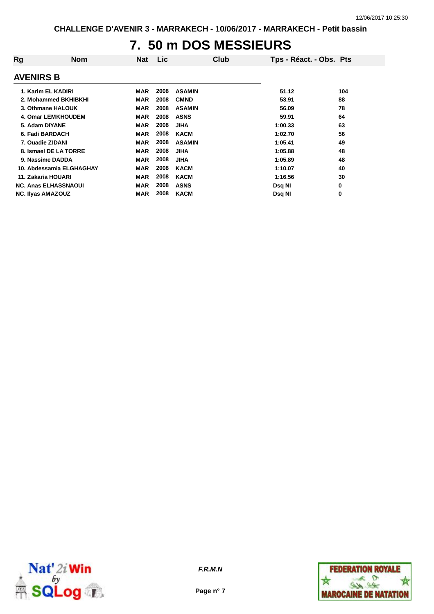### **7. 50 m DOS MESSIEURS**

| Rg                          | <b>Nom</b> | Nat        | <b>Lic</b> |               | Club | Tps - Réact. - Obs. Pts |     |
|-----------------------------|------------|------------|------------|---------------|------|-------------------------|-----|
| <b>AVENIRS B</b>            |            |            |            |               |      |                         |     |
| 1. Karim EL KADIRI          |            | MAR        | 2008       | <b>ASAMIN</b> |      | 51.12                   | 104 |
| 2. Mohammed BKHIBKHI        |            | <b>MAR</b> | 2008       | <b>CMND</b>   |      | 53.91                   | 88  |
| 3. Othmane HALOUK           |            | <b>MAR</b> | 2008       | <b>ASAMIN</b> |      | 56.09                   | 78  |
| 4. Omar LEMKHOUDEM          |            | <b>MAR</b> | 2008       | <b>ASNS</b>   |      | 59.91                   | 64  |
| 5. Adam DIYANE              |            | <b>MAR</b> | 2008       | <b>JIHA</b>   |      | 1:00.33                 | 63  |
| 6. Fadi BARDACH             |            | <b>MAR</b> | 2008       | <b>KACM</b>   |      | 1:02.70                 | 56  |
| 7. Ouadie ZIDANI            |            | <b>MAR</b> | 2008       | <b>ASAMIN</b> |      | 1:05.41                 | 49  |
| 8. Ismael DE LA TORRE       |            | <b>MAR</b> | 2008       | <b>JIHA</b>   |      | 1:05.88                 | 48  |
| 9. Nassime DADDA            |            | <b>MAR</b> | 2008       | JIHA          |      | 1:05.89                 | 48  |
| 10. Abdessamia ELGHAGHAY    |            | <b>MAR</b> | 2008       | <b>KACM</b>   |      | 1:10.07                 | 40  |
| 11. Zakaria HOUARI          |            | <b>MAR</b> | 2008       | <b>KACM</b>   |      | 1:16.56                 | 30  |
| <b>NC. Anas ELHASSNAOUI</b> |            | <b>MAR</b> | 2008       | <b>ASNS</b>   |      | Dsq NI                  | 0   |
| <b>NC. Ilyas AMAZOUZ</b>    |            | MAR        | 2008       | <b>KACM</b>   |      | Dsq NI                  | 0   |



**Page n° 7**

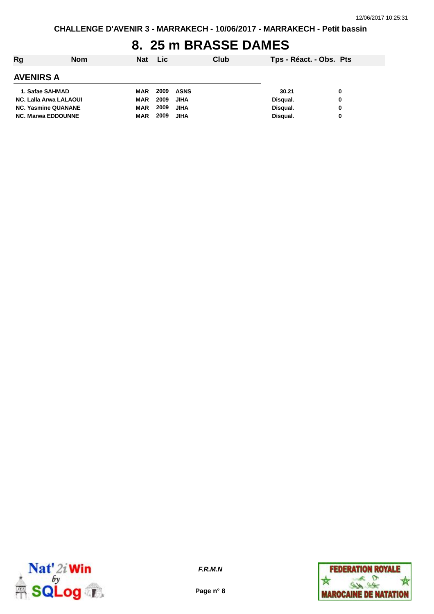#### **8. 25 m BRASSE DAMES**

| Rg                         | <b>Nom</b> | Nat Lic    |      |             | Club | Tps - Réact. - Obs. Pts |   |
|----------------------------|------------|------------|------|-------------|------|-------------------------|---|
| <b>AVENIRS A</b>           |            |            |      |             |      |                         |   |
| 1. Safae SAHMAD            |            | MAR        | 2009 | ASNS        |      | 30.21                   | 0 |
| NC. Lalla Arwa LALAOUI     |            | MAR        | 2009 | <b>JIHA</b> |      | Disqual.                | 0 |
| <b>NC. Yasmine QUANANE</b> |            | <b>MAR</b> | 2009 | <b>JIHA</b> |      | Disqual.                | 0 |
| <b>NC. Marwa EDDOUNNE</b>  |            | <b>MAR</b> | 2009 | <b>JIHA</b> |      | Disqual.                | 0 |



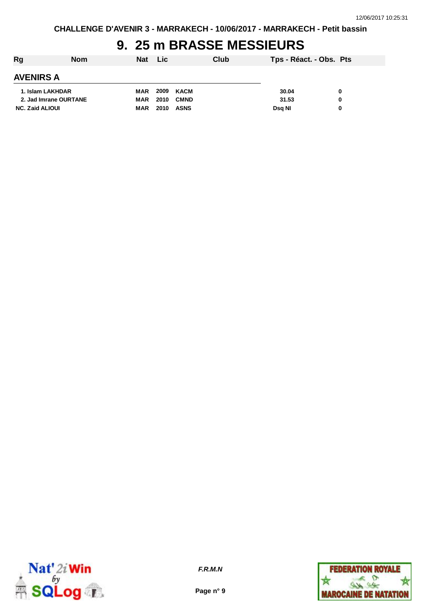## **9. 25 m BRASSE MESSIEURS**

| Rg                     | <b>Nom</b> | Nat Lic    |      |             | Club | Tps - Réact. - Obs. Pts |   |
|------------------------|------------|------------|------|-------------|------|-------------------------|---|
| <b>AVENIRS A</b>       |            |            |      |             |      |                         |   |
| 1. Islam LAKHDAR       |            | MAR        |      | 2009 KACM   |      | 30.04                   | 0 |
| 2. Jad Imrane OURTANE  |            | MAR        | 2010 | <b>CMND</b> |      | 31.53                   | 0 |
| <b>NC. Zaid ALIOUI</b> |            | <b>MAR</b> | 2010 | <b>ASNS</b> |      | Dsg NI                  | 0 |



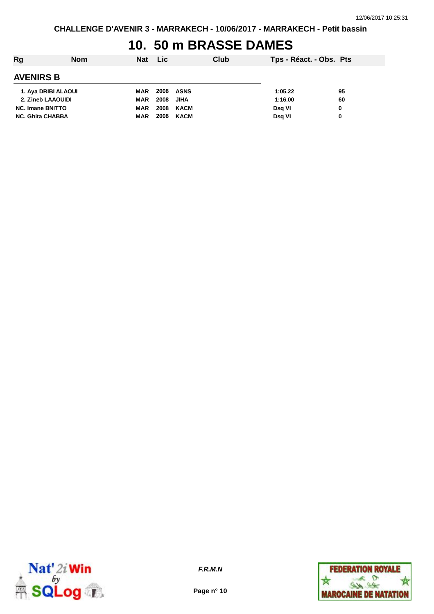#### **10. 50 m BRASSE DAMES**

| Rg                      | <b>Nom</b> | <b>Nat</b> | <b>Lic</b>       |             | Club | Tps - Réact. - Obs. Pts |    |
|-------------------------|------------|------------|------------------|-------------|------|-------------------------|----|
| <b>AVENIRS B</b>        |            |            |                  |             |      |                         |    |
| 1. Aya DRIBI ALAOUI     |            | MAR        | <b>2008 ASNS</b> |             |      | 1:05.22                 | 95 |
| 2. Zineb LAAOUIDI       |            | MAR        | 2008             | <b>JIHA</b> |      | 1:16.00                 | 60 |
| <b>NC. Imane BNITTO</b> |            | <b>MAR</b> | 2008             | KACM        |      | Dsg VI                  | 0  |
| <b>NC. Ghita CHABBA</b> |            | <b>MAR</b> | 2008             | KACM        |      | Dsg VI                  | 0  |



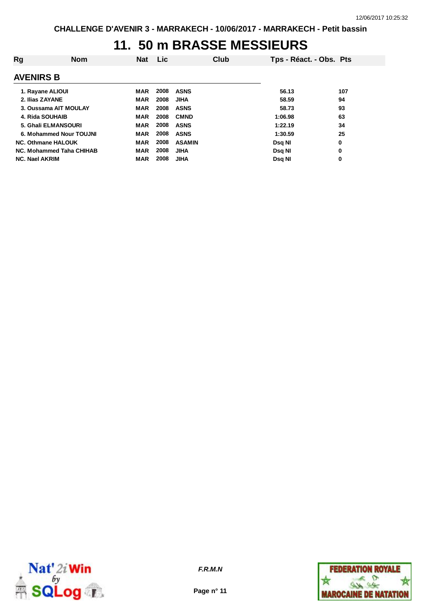#### **11. 50 m BRASSE MESSIEURS**

| Rg                    | <b>Nom</b>                | <b>Nat</b> | <b>Lic</b> | Club          | Tps - Réact. - Obs. Pts |     |
|-----------------------|---------------------------|------------|------------|---------------|-------------------------|-----|
| <b>AVENIRS B</b>      |                           |            |            |               |                         |     |
| 1. Rayane ALIOUI      |                           | <b>MAR</b> | 2008       | <b>ASNS</b>   | 56.13                   | 107 |
| 2. Ilias ZAYANE       |                           | MAR        | 2008       | JIHA          | 58.59                   | 94  |
|                       | 3. Oussama AIT MOULAY     | <b>MAR</b> | 2008       | <b>ASNS</b>   | 58.73                   | 93  |
| 4. Rida SOUHAIB       |                           | <b>MAR</b> | 2008       | <b>CMND</b>   | 1:06.98                 | 63  |
|                       | 5. Ghali ELMANSOURI       | <b>MAR</b> | 2008       | <b>ASNS</b>   | 1:22.19                 | 34  |
|                       | 6. Mohammed Nour TOUJNI   | <b>MAR</b> | 2008       | <b>ASNS</b>   | 1:30.59                 | 25  |
|                       | <b>NC. Othmane HALOUK</b> | <b>MAR</b> | 2008       | <b>ASAMIN</b> | Dsg NI                  | 0   |
|                       | NC. Mohammed Taha CHIHAB  | <b>MAR</b> | 2008       | <b>JIHA</b>   | Dsg NI                  | 0   |
| <b>NC. Nael AKRIM</b> |                           | <b>MAR</b> | 2008       | <b>JIHA</b>   | Dsg NI                  | 0   |



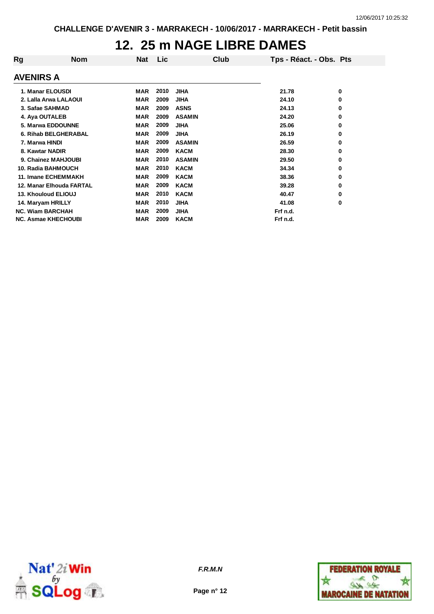### **12. 25 m NAGE LIBRE DAMES**

| Rg               | <b>Nom</b>                 | Nat        | <b>Lic</b> |               | Club | Tps - Réact. - Obs. Pts |   |
|------------------|----------------------------|------------|------------|---------------|------|-------------------------|---|
|                  |                            |            |            |               |      |                         |   |
| <b>AVENIRS A</b> |                            |            |            |               |      |                         |   |
|                  | 1. Manar ELOUSDI           | <b>MAR</b> | 2010       | <b>JIHA</b>   |      | 21.78                   | 0 |
|                  | 2. Lalla Arwa LALAOUI      | <b>MAR</b> | 2009       | <b>JIHA</b>   |      | 24.10                   | 0 |
|                  | 3. Safae SAHMAD            | <b>MAR</b> | 2009       | <b>ASNS</b>   |      | 24.13                   | 0 |
| 4. Aya OUTALEB   |                            | <b>MAR</b> | 2009       | <b>ASAMIN</b> |      | 24.20                   | 0 |
|                  | 5. Marwa EDDOUNNE          | <b>MAR</b> | 2009       | <b>JIHA</b>   |      | 25.06                   | 0 |
|                  | 6. Rihab BELGHERABAL       | <b>MAR</b> | 2009       | <b>JIHA</b>   |      | 26.19                   | 0 |
| 7. Marwa HINDI   |                            | <b>MAR</b> | 2009       | <b>ASAMIN</b> |      | 26.59                   | 0 |
| 8. Kawtar NADIR  |                            | <b>MAR</b> | 2009       | <b>KACM</b>   |      | 28.30                   | 0 |
|                  | 9. Chainez MAHJOUBI        | <b>MAR</b> | 2010       | <b>ASAMIN</b> |      | 29.50                   | 0 |
|                  | 10. Radia BAHMOUCH         | <b>MAR</b> | 2010       | <b>KACM</b>   |      | 34.34                   | 0 |
|                  | 11. Imane ECHEMMAKH        | <b>MAR</b> | 2009       | <b>KACM</b>   |      | 38.36                   | 0 |
|                  | 12. Manar Elhouda FARTAL   | <b>MAR</b> | 2009       | <b>KACM</b>   |      | 39.28                   | 0 |
|                  | 13. Khouloud ELIOUJ        | <b>MAR</b> | 2010       | <b>KACM</b>   |      | 40.47                   | 0 |
|                  | 14. Maryam HRILLY          | <b>MAR</b> | 2010       | <b>JIHA</b>   |      | 41.08                   | 0 |
|                  | <b>NC. Wiam BARCHAH</b>    | <b>MAR</b> | 2009       | <b>JIHA</b>   |      | Frf n.d.                |   |
|                  | <b>NC. Asmae KHECHOUBI</b> | <b>MAR</b> | 2009       | <b>KACM</b>   |      | Frf n.d.                |   |



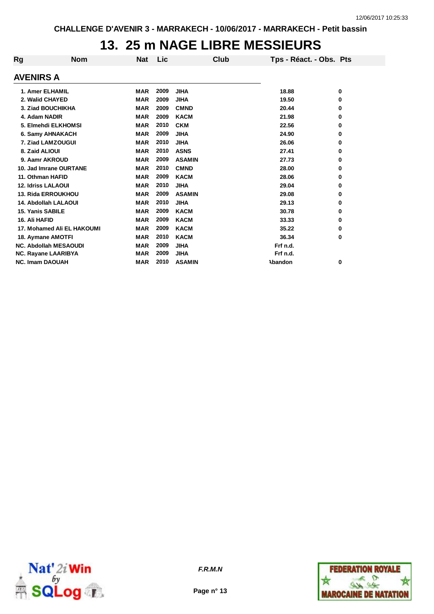### **13. 25 m NAGE LIBRE MESSIEURS**

| Rg                        | <b>Nom</b>                   | <b>Nat</b> | Lic  | <b>Club</b>   | Tps - Réact. - Obs. Pts |   |
|---------------------------|------------------------------|------------|------|---------------|-------------------------|---|
| <b>AVENIRS A</b>          |                              |            |      |               |                         |   |
| 1. Amer ELHAMIL           |                              | <b>MAR</b> | 2009 | <b>JIHA</b>   | 18.88                   | 0 |
| 2. Walid CHAYED           |                              | <b>MAR</b> | 2009 | <b>JIHA</b>   | 19.50                   | 0 |
| 3. Ziad BOUCHIKHA         |                              | <b>MAR</b> | 2009 | <b>CMND</b>   | 20.44                   | 0 |
| 4. Adam NADIR             |                              | <b>MAR</b> | 2009 | <b>KACM</b>   | 21.98                   | 0 |
| 5. Elmehdi ELKHOMSI       |                              | <b>MAR</b> | 2010 | <b>CKM</b>    | 22.56                   | 0 |
| 6. Samy AHNAKACH          |                              | <b>MAR</b> | 2009 | <b>JIHA</b>   | 24.90                   | 0 |
| 7. Ziad LAMZOUGUI         |                              | <b>MAR</b> | 2010 | <b>JIHA</b>   | 26.06                   | 0 |
| 8. Zaid ALIOUI            |                              | <b>MAR</b> | 2010 | <b>ASNS</b>   | 27.41                   | 0 |
| 9. Aamr AKROUD            |                              | <b>MAR</b> | 2009 | <b>ASAMIN</b> | 27.73                   | 0 |
|                           | 10. Jad Imrane OURTANE       | <b>MAR</b> | 2010 | <b>CMND</b>   | 28.00                   | 0 |
| 11. Othman HAFID          |                              | <b>MAR</b> | 2009 | <b>KACM</b>   | 28.06                   | 0 |
| <b>12. Idriss LALAOUI</b> |                              | <b>MAR</b> | 2010 | <b>JIHA</b>   | 29.04                   | 0 |
|                           | 13. Rida ERROUKHOU           | <b>MAR</b> | 2009 | <b>ASAMIN</b> | 29.08                   | 0 |
|                           | <b>14. Abdollah LALAOUI</b>  | <b>MAR</b> | 2010 | <b>JIHA</b>   | 29.13                   | 0 |
| <b>15. Yanis SABILE</b>   |                              | <b>MAR</b> | 2009 | <b>KACM</b>   | 30.78                   | 0 |
| 16. Ali HAFID             |                              | <b>MAR</b> | 2009 | <b>KACM</b>   | 33.33                   | 0 |
|                           | 17. Mohamed Ali EL HAKOUMI   | <b>MAR</b> | 2009 | <b>KACM</b>   | 35.22                   | 0 |
| 18. Aymane AMOTFI         |                              | <b>MAR</b> | 2010 | <b>KACM</b>   | 36.34                   | 0 |
|                           | <b>NC. Abdollah MESAOUDI</b> | <b>MAR</b> | 2009 | <b>JIHA</b>   | Frf n.d.                |   |
| NC. Rayane LAARIBYA       |                              | <b>MAR</b> | 2009 | <b>JIHA</b>   | Frf n.d.                |   |
| <b>NC. Imam DAOUAH</b>    |                              | <b>MAR</b> | 2010 | <b>ASAMIN</b> | Abandon                 | 0 |





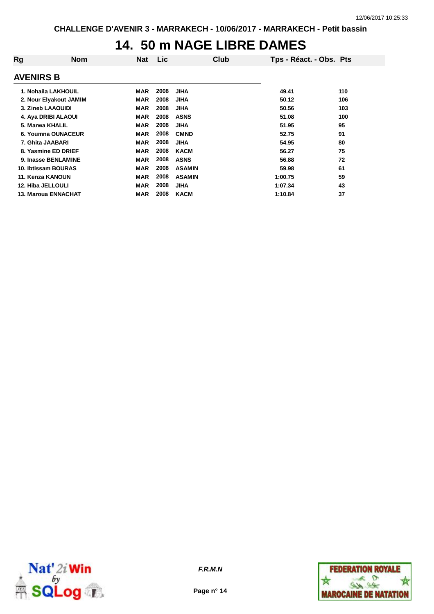### **14. 50 m NAGE LIBRE DAMES**

| Rg                         | <b>Nom</b> | <b>Nat</b> | Lic  | Club          | Tps - Réact. - Obs. Pts |     |
|----------------------------|------------|------------|------|---------------|-------------------------|-----|
| <b>AVENIRS B</b>           |            |            |      |               |                         |     |
| 1. Nohaila LAKHOUIL        |            | MAR        | 2008 | <b>JIHA</b>   | 49.41                   | 110 |
| 2. Nour Elyakout JAMIM     |            | <b>MAR</b> | 2008 | <b>JIHA</b>   | 50.12                   | 106 |
| 3. Zineb LAAOUIDI          |            | <b>MAR</b> | 2008 | <b>JIHA</b>   | 50.56                   | 103 |
| 4. Aya DRIBI ALAOUI        |            | <b>MAR</b> | 2008 | <b>ASNS</b>   | 51.08                   | 100 |
| 5. Marwa KHALIL            |            | <b>MAR</b> | 2008 | <b>JIHA</b>   | 51.95                   | 95  |
| 6. Youmna OUNACEUR         |            | <b>MAR</b> | 2008 | <b>CMND</b>   | 52.75                   | 91  |
| 7. Ghita JAABARI           |            | <b>MAR</b> | 2008 | <b>JIHA</b>   | 54.95                   | 80  |
| 8. Yasmine ED DRIEF        |            | <b>MAR</b> | 2008 | <b>KACM</b>   | 56.27                   | 75  |
| 9. Inasse BENLAMINE        |            | <b>MAR</b> | 2008 | <b>ASNS</b>   | 56.88                   | 72  |
| 10. Ibtissam BOURAS        |            | <b>MAR</b> | 2008 | <b>ASAMIN</b> | 59.98                   | 61  |
| 11. Kenza KANOUN           |            | <b>MAR</b> | 2008 | <b>ASAMIN</b> | 1:00.75                 | 59  |
| 12. Hiba JELLOULI          |            | <b>MAR</b> | 2008 | <b>JIHA</b>   | 1:07.34                 | 43  |
| <b>13. Maroua ENNACHAT</b> |            | <b>MAR</b> | 2008 | <b>KACM</b>   | 1:10.84                 | 37  |